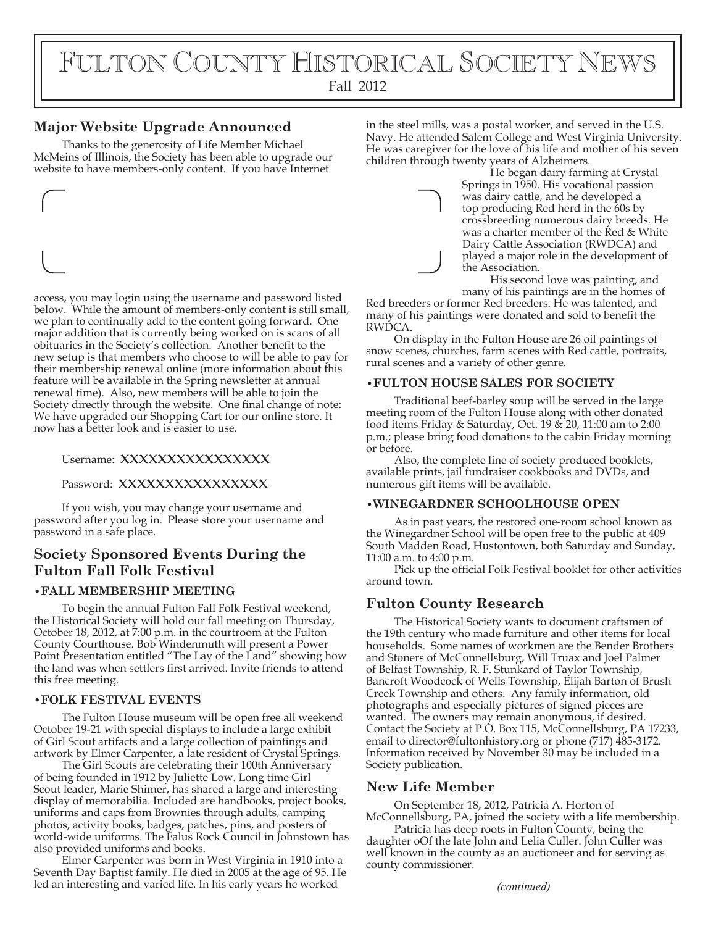# FULTON COUNTY HISTORICAL SOCIETY NEWS

Fall 2012

# **Major Website Upgrade Announced**

Thanks to the generosity of Life Member Michael McMeins of Illinois, the Society has been able to upgrade our website to have members-only content. If you have Internet

access, you may login using the username and password listed below. While the amount of members-only content is still small, we plan to continually add to the content going forward. One major addition that is currently being worked on is scans of all obituaries in the Society's collection. Another benefit to the new setup is that members who choose to will be able to pay for their membership renewal online (more information about this feature will be available in the Spring newsletter at annual renewal time). Also, new members will be able to join the Society directly through the website. One final change of note: We have upgraded our Shopping Cart for our online store. It now has a better look and is easier to use.

#### Username: XXXXXXXXXXXXXXX

#### Password: XXXXXXXXXXXXXX

If you wish, you may change your username and password after you log in. Please store your username and password in a safe place.

# **Society Sponsored Events During the Fulton Fall Folk Festival**

#### **•FALL MEMBERSHIP MEETING**

To begin the annual Fulton Fall Folk Festival weekend, the Historical Society will hold our fall meeting on Thursday, October 18, 2012, at 7:00 p.m. in the courtroom at the Fulton County Courthouse. Bob Windenmuth will present a Power Point Presentation entitled "The Lay of the Land" showing how the land was when settlers first arrived. Invite friends to attend this free meeting.

#### **•FOLK FESTIVAL EVENTS**

The Fulton House museum will be open free all weekend October 19-21 with special displays to include a large exhibit of Girl Scout artifacts and a large collection of paintings and artwork by Elmer Carpenter, a late resident of Crystal Springs.

The Girl Scouts are celebrating their 100th Anniversary of being founded in 1912 by Juliette Low. Long time Girl Scout leader, Marie Shimer, has shared a large and interesting display of memorabilia. Included are handbooks, project books, uniforms and caps from Brownies through adults, camping photos, activity books, badges, patches, pins, and posters of world-wide uniforms. The Falus Rock Council in Johnstown has also provided uniforms and books.

Elmer Carpenter was born in West Virginia in 1910 into a Seventh Day Baptist family. He died in 2005 at the age of 95. He led an interesting and varied life. In his early years he worked

in the steel mills, was a postal worker, and served in the U.S. Navy. He attended Salem College and West Virginia University. He was caregiver for the love of his life and mother of his seven children through twenty years of Alzheimers.

He began dairy farming at Crystal Springs in 1950. His vocational passion was dairy cattle, and he developed a top producing Red herd in the 60s by crossbreeding numerous dairy breeds. He was a charter member of the Red & White Dairy Cattle Association (RWDCA) and played a major role in the development of the Association.

His second love was painting, and many of his paintings are in the homes of

Red breeders or former Red breeders. He was talented, and many of his paintings were donated and sold to benefit the RWDCA.

On display in the Fulton House are 26 oil paintings of snow scenes, churches, farm scenes with Red cattle, portraits, rural scenes and a variety of other genre.

#### **•FULTON HOUSE SALES FOR SOCIETY**

Traditional beef-barley soup will be served in the large meeting room of the Fulton House along with other donated food items Friday & Saturday, Oct. 19  $\&$  20, 11:00 am to 2:00 p.m.; please bring food donations to the cabin Friday morning or before.

Also, the complete line of society produced booklets, available prints, jail fundraiser cookbooks and DVDs, and numerous gift items will be available.

#### **•WINEGARDNER SCHOOLHOUSE OPEN**

As in past years, the restored one-room school known as the Winegardner School will be open free to the public at 409 South Madden Road, Hustontown, both Saturday and Sunday, 11:00 a.m. to 4:00 p.m.

Pick up the official Folk Festival booklet for other activities around town.

## **Fulton County Research**

The Historical Society wants to document craftsmen of the 19th century who made furniture and other items for local households. Some names of workmen are the Bender Brothers and Stoners of McConnellsburg, Will Truax and Joel Palmer of Belfast Township, R. F. Stunkard of Taylor Township, Bancroft Woodcock of Wells Township, Elijah Barton of Brush Creek Township and others. Any family information, old photographs and especially pictures of signed pieces are wanted. The owners may remain anonymous, if desired. Contact the Society at P.O. Box 115, McConnellsburg, PA 17233, email to director@fultonhistory.org or phone (717) 485-3172. Information received by November 30 may be included in a Society publication.

## **New Life Member**

On September 18, 2012, Patricia A. Horton of McConnellsburg, PA, joined the society with a life membership.

Patricia has deep roots in Fulton County, being the daughter oOf the late John and Lelia Culler. John Culler was well known in the county as an auctioneer and for serving as county commissioner.